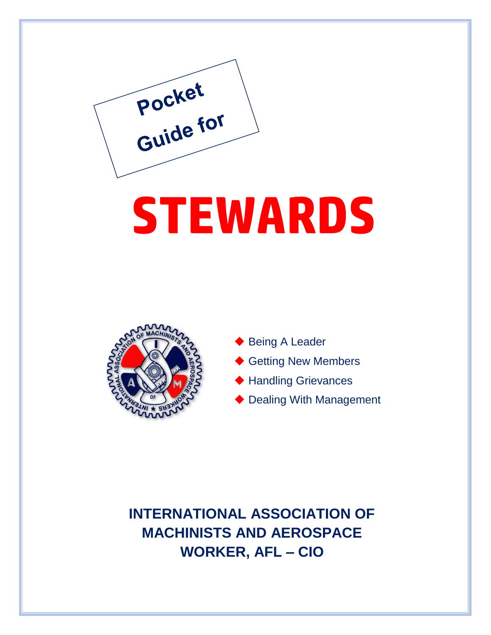

# **STEWARDS**



- ◆ Being A Leader
- ◆ Getting New Members
- ◆ Handling Grievances
- ◆ Dealing With Management

**INTERNATIONAL ASSOCIATION OF MACHINISTS AND AEROSPACE WORKER, AFL – CIO**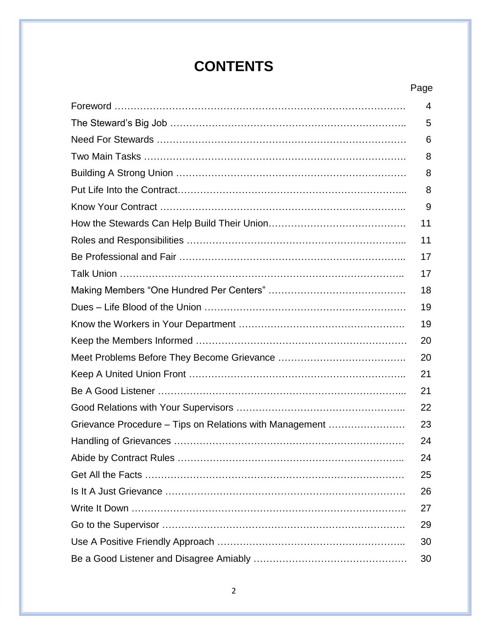### **CONTENTS**

#### Page

|                                                         | 4  |
|---------------------------------------------------------|----|
|                                                         | 5  |
|                                                         | 6  |
|                                                         | 8  |
|                                                         | 8  |
|                                                         | 8  |
|                                                         | 9  |
|                                                         | 11 |
|                                                         | 11 |
|                                                         | 17 |
|                                                         | 17 |
|                                                         | 18 |
|                                                         | 19 |
|                                                         | 19 |
|                                                         | 20 |
|                                                         | 20 |
|                                                         | 21 |
|                                                         | 21 |
|                                                         | 22 |
| Grievance Procedure - Tips on Relations with Management | 23 |
|                                                         | 24 |
|                                                         | 24 |
|                                                         | 25 |
|                                                         | 26 |
|                                                         | 27 |
|                                                         | 29 |
|                                                         | 30 |
|                                                         | 30 |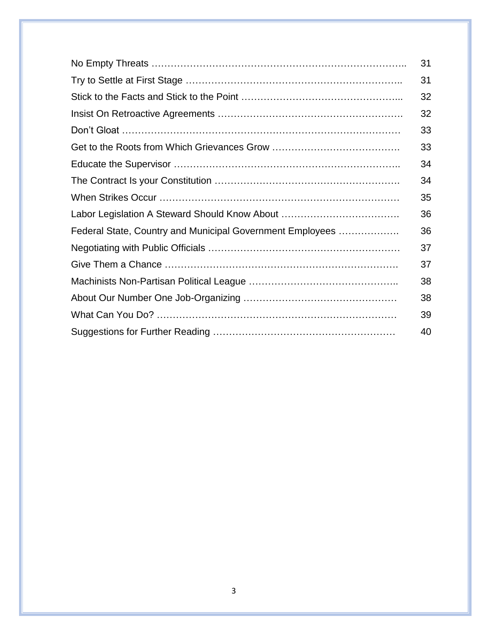|                                                           | 31 |
|-----------------------------------------------------------|----|
|                                                           | 31 |
|                                                           | 32 |
|                                                           | 32 |
|                                                           | 33 |
|                                                           | 33 |
|                                                           | 34 |
|                                                           | 34 |
|                                                           | 35 |
| Labor Legislation A Steward Should Know About             | 36 |
| Federal State, Country and Municipal Government Employees | 36 |
|                                                           | 37 |
|                                                           | 37 |
|                                                           | 38 |
|                                                           | 38 |
|                                                           | 39 |
|                                                           | 40 |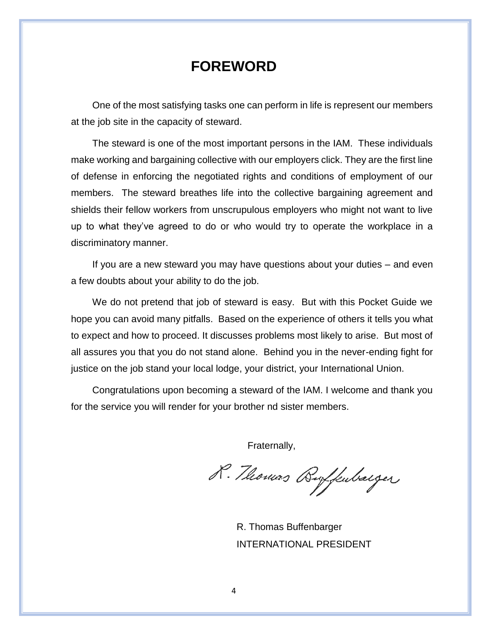#### **FOREWORD**

One of the most satisfying tasks one can perform in life is represent our members at the job site in the capacity of steward.

The steward is one of the most important persons in the IAM. These individuals make working and bargaining collective with our employers click. They are the first line of defense in enforcing the negotiated rights and conditions of employment of our members. The steward breathes life into the collective bargaining agreement and shields their fellow workers from unscrupulous employers who might not want to live up to what they've agreed to do or who would try to operate the workplace in a discriminatory manner.

If you are a new steward you may have questions about your duties – and even a few doubts about your ability to do the job.

We do not pretend that job of steward is easy. But with this Pocket Guide we hope you can avoid many pitfalls. Based on the experience of others it tells you what to expect and how to proceed. It discusses problems most likely to arise. But most of all assures you that you do not stand alone. Behind you in the never-ending fight for justice on the job stand your local lodge, your district, your International Union.

Congratulations upon becoming a steward of the IAM. I welcome and thank you for the service you will render for your brother nd sister members.

Fraternally,

R. Thomas Byfkubarger

R. Thomas Buffenbarger INTERNATIONAL PRESIDENT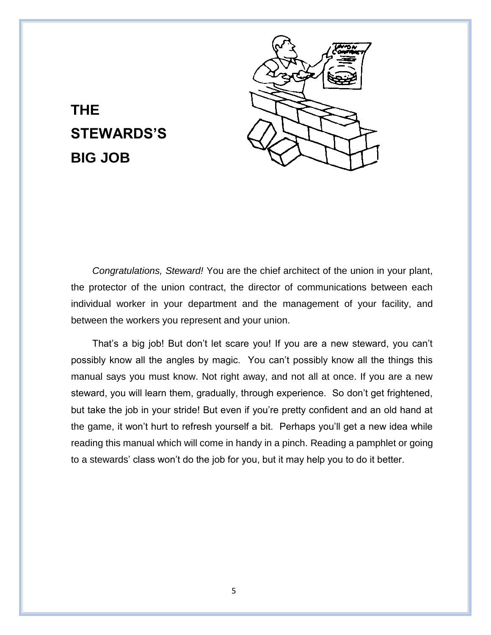

### **THE STEWARDS'S BIG JOB**

*Congratulations, Steward!* You are the chief architect of the union in your plant, the protector of the union contract, the director of communications between each individual worker in your department and the management of your facility, and between the workers you represent and your union.

That's a big job! But don't let scare you! If you are a new steward, you can't possibly know all the angles by magic. You can't possibly know all the things this manual says you must know. Not right away, and not all at once. If you are a new steward, you will learn them, gradually, through experience. So don't get frightened, but take the job in your stride! But even if you're pretty confident and an old hand at the game, it won't hurt to refresh yourself a bit. Perhaps you'll get a new idea while reading this manual which will come in handy in a pinch. Reading a pamphlet or going to a stewards' class won't do the job for you, but it may help you to do it better.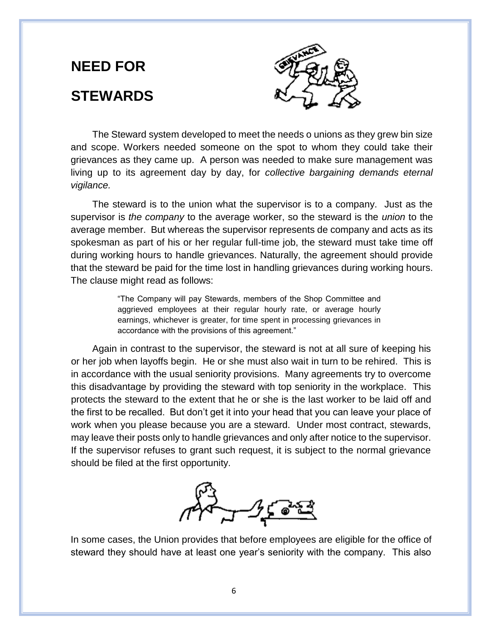# **NEED FOR STEWARDS**



The Steward system developed to meet the needs o unions as they grew bin size and scope. Workers needed someone on the spot to whom they could take their grievances as they came up. A person was needed to make sure management was living up to its agreement day by day, for *collective bargaining demands eternal vigilance.*

The steward is to the union what the supervisor is to a company. Just as the supervisor is *the company* to the average worker, so the steward is the *union* to the average member. But whereas the supervisor represents de company and acts as its spokesman as part of his or her regular full-time job, the steward must take time off during working hours to handle grievances. Naturally, the agreement should provide that the steward be paid for the time lost in handling grievances during working hours. The clause might read as follows:

> "The Company will pay Stewards, members of the Shop Committee and aggrieved employees at their regular hourly rate, or average hourly earnings, whichever is greater, for time spent in processing grievances in accordance with the provisions of this agreement."

Again in contrast to the supervisor, the steward is not at all sure of keeping his or her job when layoffs begin. He or she must also wait in turn to be rehired. This is in accordance with the usual seniority provisions. Many agreements try to overcome this disadvantage by providing the steward with top seniority in the workplace. This protects the steward to the extent that he or she is the last worker to be laid off and the first to be recalled. But don't get it into your head that you can leave your place of work when you please because you are a steward. Under most contract, stewards, may leave their posts only to handle grievances and only after notice to the supervisor. If the supervisor refuses to grant such request, it is subject to the normal grievance should be filed at the first opportunity.



In some cases, the Union provides that before employees are eligible for the office of steward they should have at least one year's seniority with the company. This also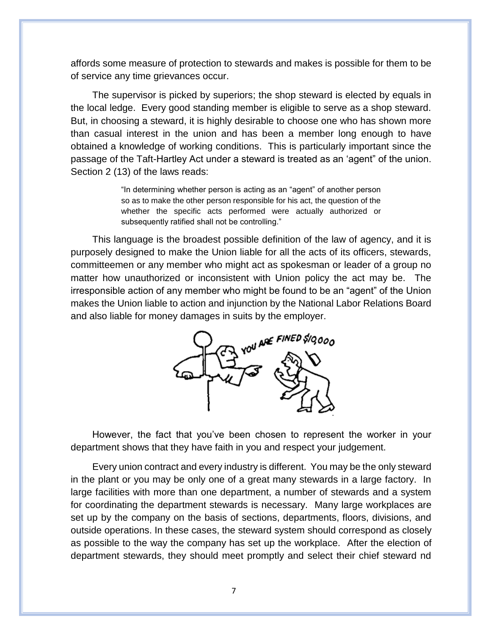affords some measure of protection to stewards and makes is possible for them to be of service any time grievances occur.

The supervisor is picked by superiors; the shop steward is elected by equals in the local ledge. Every good standing member is eligible to serve as a shop steward. But, in choosing a steward, it is highly desirable to choose one who has shown more than casual interest in the union and has been a member long enough to have obtained a knowledge of working conditions. This is particularly important since the passage of the Taft-Hartley Act under a steward is treated as an 'agent" of the union. Section 2 (13) of the laws reads:

> "In determining whether person is acting as an "agent" of another person so as to make the other person responsible for his act, the question of the whether the specific acts performed were actually authorized or subsequently ratified shall not be controlling."

This language is the broadest possible definition of the law of agency, and it is purposely designed to make the Union liable for all the acts of its officers, stewards, committeemen or any member who might act as spokesman or leader of a group no matter how unauthorized or inconsistent with Union policy the act may be. The irresponsible action of any member who might be found to be an "agent" of the Union makes the Union liable to action and injunction by the National Labor Relations Board and also liable for money damages in suits by the employer.



However, the fact that you've been chosen to represent the worker in your department shows that they have faith in you and respect your judgement.

Every union contract and every industry is different. You may be the only steward in the plant or you may be only one of a great many stewards in a large factory. In large facilities with more than one department, a number of stewards and a system for coordinating the department stewards is necessary. Many large workplaces are set up by the company on the basis of sections, departments, floors, divisions, and outside operations. In these cases, the steward system should correspond as closely as possible to the way the company has set up the workplace. After the election of department stewards, they should meet promptly and select their chief steward nd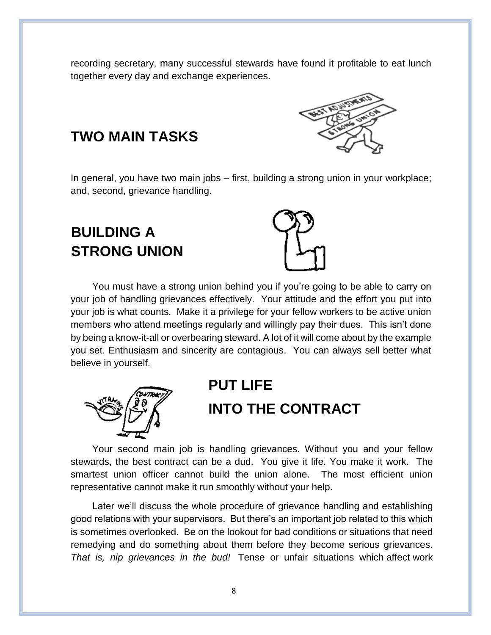recording secretary, many successful stewards have found it profitable to eat lunch together every day and exchange experiences.



#### **TWO MAIN TASKS**

In general, you have two main jobs – first, building a strong union in your workplace; and, second, grievance handling.

### **BUILDING A STRONG UNION**



You must have a strong union behind you if you're going to be able to carry on your job of handling grievances effectively. Your attitude and the effort you put into your job is what counts. Make it a privilege for your fellow workers to be active union members who attend meetings regularly and willingly pay their dues. This isn't done by being a know-it-all or overbearing steward. A lot of it will come about by the example you set. Enthusiasm and sincerity are contagious. You can always sell better what believe in yourself.



### **PUT LIFE INTO THE CONTRACT**

Your second main job is handling grievances. Without you and your fellow stewards, the best contract can be a dud. You give it life. You make it work. The smartest union officer cannot build the union alone. The most efficient union representative cannot make it run smoothly without your help.

Later we'll discuss the whole procedure of grievance handling and establishing good relations with your supervisors. But there's an important job related to this which is sometimes overlooked. Be on the lookout for bad conditions or situations that need remedying and do something about them before they become serious grievances. *That is, nip grievances in the bud!* Tense or unfair situations which affect work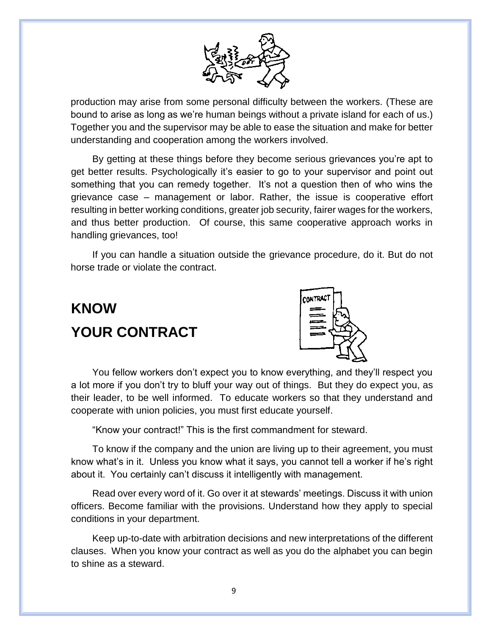

production may arise from some personal difficulty between the workers. (These are bound to arise as long as we're human beings without a private island for each of us.) Together you and the supervisor may be able to ease the situation and make for better understanding and cooperation among the workers involved.

By getting at these things before they become serious grievances you're apt to get better results. Psychologically it's easier to go to your supervisor and point out something that you can remedy together. It's not a question then of who wins the grievance case – management or labor. Rather, the issue is cooperative effort resulting in better working conditions, greater job security, fairer wages for the workers, and thus better production. Of course, this same cooperative approach works in handling grievances, too!

If you can handle a situation outside the grievance procedure, do it. But do not horse trade or violate the contract.

# **KNOW YOUR CONTRACT**



You fellow workers don't expect you to know everything, and they'll respect you a lot more if you don't try to bluff your way out of things. But they do expect you, as their leader, to be well informed. To educate workers so that they understand and cooperate with union policies, you must first educate yourself.

"Know your contract!" This is the first commandment for steward.

To know if the company and the union are living up to their agreement, you must know what's in it. Unless you know what it says, you cannot tell a worker if he's right about it. You certainly can't discuss it intelligently with management.

Read over every word of it. Go over it at stewards' meetings. Discuss it with union officers. Become familiar with the provisions. Understand how they apply to special conditions in your department.

Keep up-to-date with arbitration decisions and new interpretations of the different clauses. When you know your contract as well as you do the alphabet you can begin to shine as a steward.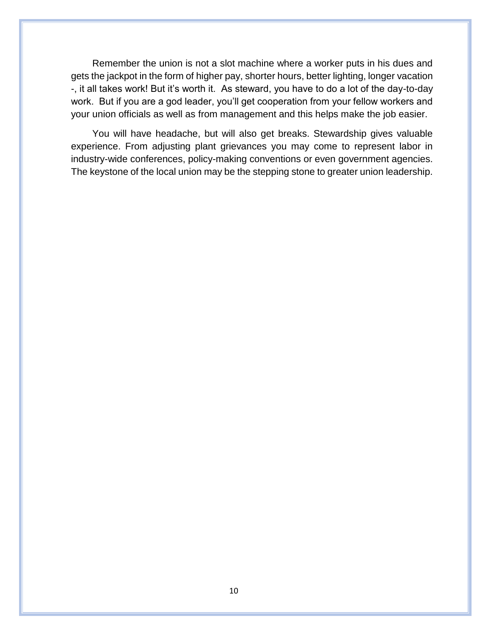Remember the union is not a slot machine where a worker puts in his dues and gets the jackpot in the form of higher pay, shorter hours, better lighting, longer vacation -, it all takes work! But it's worth it. As steward, you have to do a lot of the day-to-day work. But if you are a god leader, you'll get cooperation from your fellow workers and your union officials as well as from management and this helps make the job easier.

You will have headache, but will also get breaks. Stewardship gives valuable experience. From adjusting plant grievances you may come to represent labor in industry-wide conferences, policy-making conventions or even government agencies. The keystone of the local union may be the stepping stone to greater union leadership.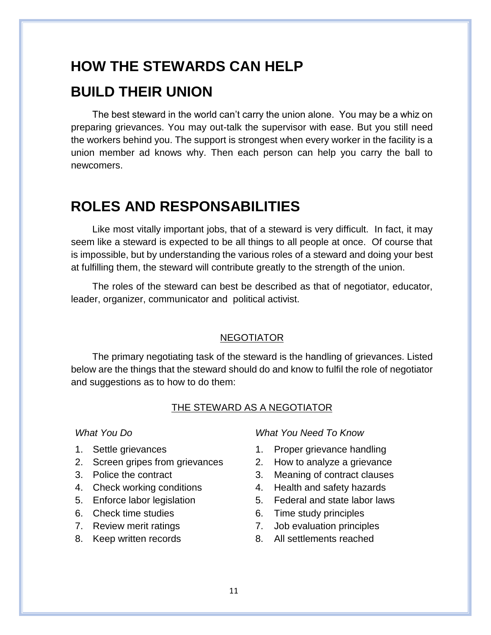#### **HOW THE STEWARDS CAN HELP**

#### **BUILD THEIR UNION**

The best steward in the world can't carry the union alone. You may be a whiz on preparing grievances. You may out-talk the supervisor with ease. But you still need the workers behind you. The support is strongest when every worker in the facility is a union member ad knows why. Then each person can help you carry the ball to newcomers.

#### **ROLES AND RESPONSABILITIES**

Like most vitally important jobs, that of a steward is very difficult. In fact, it may seem like a steward is expected to be all things to all people at once. Of course that is impossible, but by understanding the various roles of a steward and doing your best at fulfilling them, the steward will contribute greatly to the strength of the union.

The roles of the steward can best be described as that of negotiator, educator, leader, organizer, communicator and political activist.

#### **NEGOTIATOR**

The primary negotiating task of the steward is the handling of grievances. Listed below are the things that the steward should do and know to fulfil the role of negotiator and suggestions as to how to do them:

#### THE STEWARD AS A NEGOTIATOR

- 
- 2. Screen gripes from grievances 2. How to analyze a grievance
- 
- 
- 
- 
- 
- 

*What You Do What You Need To Know*

- 1. Settle grievances 1. Proper grievance handling
	-
- 3. Police the contract 3. Meaning of contract clauses
- 4. Check working conditions 4. Health and safety hazards
- 5. Enforce labor legislation 5. Federal and state labor laws
- 6. Check time studies 6. Time study principles
- 7. Review merit ratings 7. Job evaluation principles
- 8. Keep written records 8. All settlements reached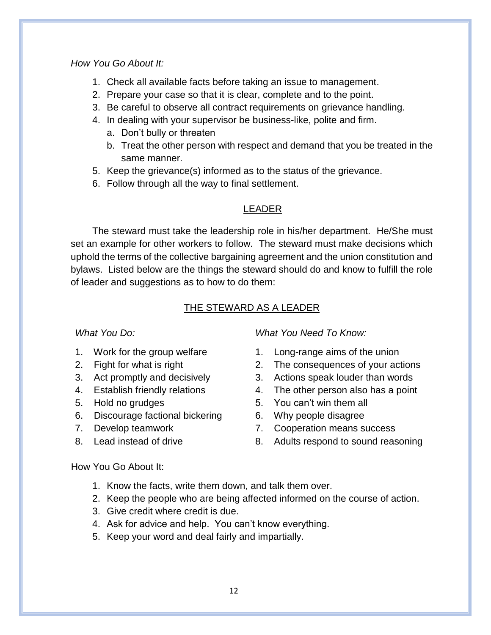#### *How You Go About It:*

- 1. Check all available facts before taking an issue to management.
- 2. Prepare your case so that it is clear, complete and to the point.
- 3. Be careful to observe all contract requirements on grievance handling.
- 4. In dealing with your supervisor be business-like, polite and firm.
	- a. Don't bully or threaten
	- b. Treat the other person with respect and demand that you be treated in the same manner.
- 5. Keep the grievance(s) informed as to the status of the grievance.
- 6. Follow through all the way to final settlement.

#### LEADER

The steward must take the leadership role in his/her department. He/She must set an example for other workers to follow. The steward must make decisions which uphold the terms of the collective bargaining agreement and the union constitution and bylaws. Listed below are the things the steward should do and know to fulfill the role of leader and suggestions as to how to do them:

#### THE STEWARD AS A LEADER

- 
- 
- 
- 
- 
- 6. Discourage factional bickering 6. Why people disagree
- 
- 

*What You Do: What You Need To Know:*

- 1. Work for the group welfare 1. Long-range aims of the union
- 2. Fight for what is right 2. The consequences of your actions
- 3. Act promptly and decisively 3. Actions speak louder than words
- 4. Establish friendly relations 4. The other person also has a point
- 5. Hold no grudges 5. You can't win them all
	-
- 7. Develop teamwork 7. Cooperation means success
- 8. Lead instead of drive 8. Adults respond to sound reasoning

#### How You Go About It:

- 1. Know the facts, write them down, and talk them over.
- 2. Keep the people who are being affected informed on the course of action.
- 3. Give credit where credit is due.
- 4. Ask for advice and help. You can't know everything.
- 5. Keep your word and deal fairly and impartially.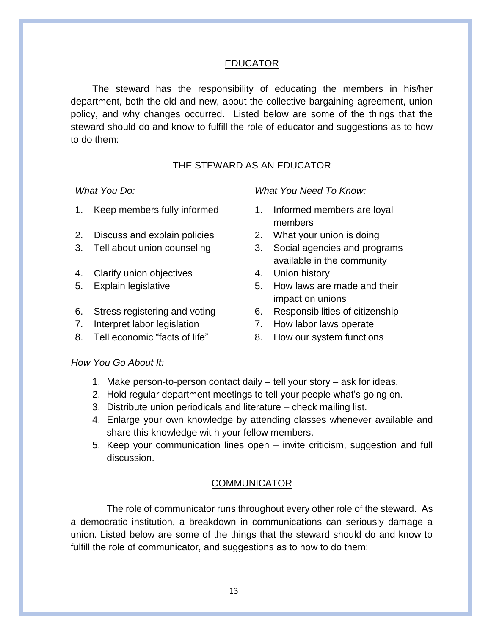#### EDUCATOR

The steward has the responsibility of educating the members in his/her department, both the old and new, about the collective bargaining agreement, union policy, and why changes occurred. Listed below are some of the things that the steward should do and know to fulfill the role of educator and suggestions as to how to do them:

#### THE STEWARD AS AN EDUCATOR

- 1. Keep members fully informed 1. Informed members are loyal
- 2. Discuss and explain policies 2. What your union is doing
- 
- 4. Clarify union objectives **4. Union history**
- 
- 
- 7. Interpret labor legislation 7. How labor laws operate
- 8. Tell economic "facts of life" 8. How our system functions

*What You Do: What You Need To Know:*

- members
- 
- 3. Tell about union counseling 3. Social agencies and programs available in the community
	-
- 5. Explain legislative 5. How laws are made and their impact on unions
- 6. Stress registering and voting 6. Responsibilities of citizenship
	-
	-

#### *How You Go About It:*

- 1. Make person-to-person contact daily tell your story ask for ideas.
- 2. Hold regular department meetings to tell your people what's going on.
- 3. Distribute union periodicals and literature check mailing list.
- 4. Enlarge your own knowledge by attending classes whenever available and share this knowledge wit h your fellow members.
- 5. Keep your communication lines open invite criticism, suggestion and full discussion.

#### COMMUNICATOR

The role of communicator runs throughout every other role of the steward. As a democratic institution, a breakdown in communications can seriously damage a union. Listed below are some of the things that the steward should do and know to fulfill the role of communicator, and suggestions as to how to do them: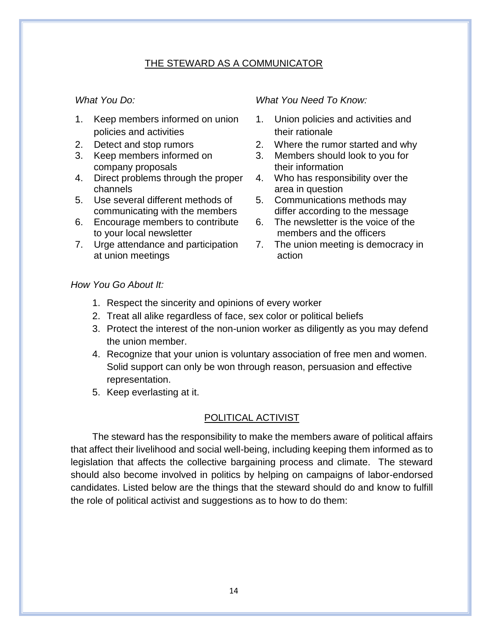#### THE STEWARD AS A COMMUNICATOR

- 1. Keep members informed on union policies and activities
- 
- 3. Keep members informed on company proposals
- 4. Direct problems through the proper channels
- 5. Use several different methods of communicating with the members
- 6. Encourage members to contribute to your local newsletter
- 7. Urge attendance and participation at union meetings

#### *What You Do: What You Need To Know:*

- 1. Union policies and activities and their rationale
- 2. Detect and stop rumors 2. Where the rumor started and why
	- 3. Members should look to you for their information
	- 4. Who has responsibility over the area in question
	- 5. Communications methods may differ according to the message
	- 6. The newsletter is the voice of the members and the officers
	- 7. The union meeting is democracy in action

#### *How You Go About It:*

- 1. Respect the sincerity and opinions of every worker
- 2. Treat all alike regardless of face, sex color or political beliefs
- 3. Protect the interest of the non-union worker as diligently as you may defend the union member.
- 4. Recognize that your union is voluntary association of free men and women. Solid support can only be won through reason, persuasion and effective representation.
- 5. Keep everlasting at it.

#### POLITICAL ACTIVIST

The steward has the responsibility to make the members aware of political affairs that affect their livelihood and social well-being, including keeping them informed as to legislation that affects the collective bargaining process and climate. The steward should also become involved in politics by helping on campaigns of labor-endorsed candidates. Listed below are the things that the steward should do and know to fulfill the role of political activist and suggestions as to how to do them: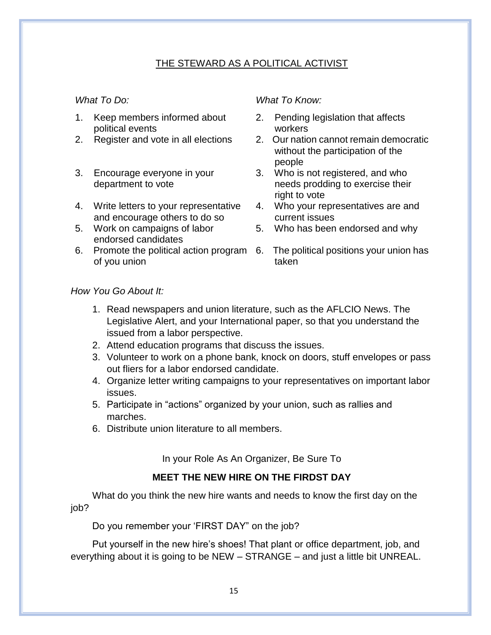#### THE STEWARD AS A POLITICAL ACTIVIST

- 1. Keep members informed about political events
- 
- 3. Encourage everyone in your department to vote
- 4. Write letters to your representative and encourage others to do so
- 5. Work on campaigns of labor endorsed candidates
- 6. Promote the political action program 6. The political positions your union has of you union

#### *What To Do: What To Know:*

- 2. Pending legislation that affects workers
- 2. Register and vote in all elections 2. Our nation cannot remain democratic without the participation of the people
	- 3. Who is not registered, and who needs prodding to exercise their right to vote
	- 4. Who your representatives are and current issues
	- 5. Who has been endorsed and why
		- taken

#### *How You Go About It:*

- 1. Read newspapers and union literature, such as the AFLCIO News. The Legislative Alert, and your International paper, so that you understand the issued from a labor perspective.
- 2. Attend education programs that discuss the issues.
- 3. Volunteer to work on a phone bank, knock on doors, stuff envelopes or pass out fliers for a labor endorsed candidate.
- 4. Organize letter writing campaigns to your representatives on important labor issues.
- 5. Participate in "actions" organized by your union, such as rallies and marches.
- 6. Distribute union literature to all members.

In your Role As An Organizer, Be Sure To

#### **MEET THE NEW HIRE ON THE FIRDST DAY**

What do you think the new hire wants and needs to know the first day on the job?

Do you remember your 'FIRST DAY" on the job?

Put yourself in the new hire's shoes! That plant or office department, job, and everything about it is going to be NEW – STRANGE – and just a little bit UNREAL.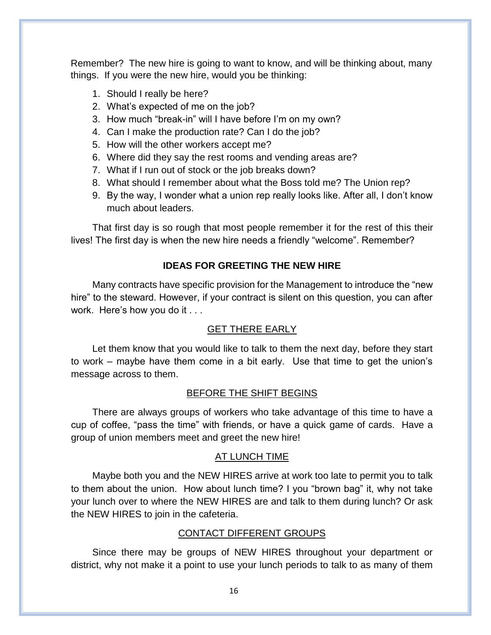Remember? The new hire is going to want to know, and will be thinking about, many things. If you were the new hire, would you be thinking:

- 1. Should I really be here?
- 2. What's expected of me on the job?
- 3. How much "break-in" will I have before I'm on my own?
- 4. Can I make the production rate? Can I do the job?
- 5. How will the other workers accept me?
- 6. Where did they say the rest rooms and vending areas are?
- 7. What if I run out of stock or the job breaks down?
- 8. What should I remember about what the Boss told me? The Union rep?
- 9. By the way, I wonder what a union rep really looks like. After all, I don't know much about leaders.

That first day is so rough that most people remember it for the rest of this their lives! The first day is when the new hire needs a friendly "welcome". Remember?

#### **IDEAS FOR GREETING THE NEW HIRE**

Many contracts have specific provision for the Management to introduce the "new hire" to the steward. However, if your contract is silent on this question, you can after work. Here's how you do it . . .

#### GET THERE EARLY

Let them know that you would like to talk to them the next day, before they start to work – maybe have them come in a bit early. Use that time to get the union's message across to them.

#### BEFORE THE SHIFT BEGINS

There are always groups of workers who take advantage of this time to have a cup of coffee, "pass the time" with friends, or have a quick game of cards. Have a group of union members meet and greet the new hire!

#### AT LUNCH TIME

Maybe both you and the NEW HIRES arrive at work too late to permit you to talk to them about the union. How about lunch time? I you "brown bag" it, why not take your lunch over to where the NEW HIRES are and talk to them during lunch? Or ask the NEW HIRES to join in the cafeteria.

#### CONTACT DIFFERENT GROUPS

Since there may be groups of NEW HIRES throughout your department or district, why not make it a point to use your lunch periods to talk to as many of them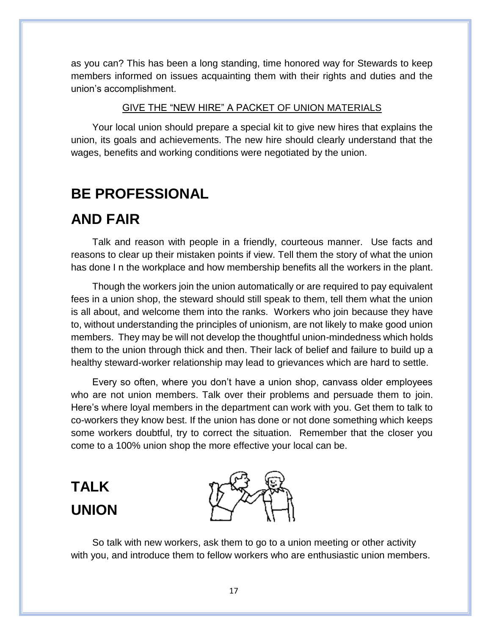as you can? This has been a long standing, time honored way for Stewards to keep members informed on issues acquainting them with their rights and duties and the union's accomplishment.

#### GIVE THE "NEW HIRE" A PACKET OF UNION MATERIALS

Your local union should prepare a special kit to give new hires that explains the union, its goals and achievements. The new hire should clearly understand that the wages, benefits and working conditions were negotiated by the union.

#### **BE PROFESSIONAL**

#### **AND FAIR**

Talk and reason with people in a friendly, courteous manner. Use facts and reasons to clear up their mistaken points if view. Tell them the story of what the union has done I n the workplace and how membership benefits all the workers in the plant.

Though the workers join the union automatically or are required to pay equivalent fees in a union shop, the steward should still speak to them, tell them what the union is all about, and welcome them into the ranks. Workers who join because they have to, without understanding the principles of unionism, are not likely to make good union members. They may be will not develop the thoughtful union-mindedness which holds them to the union through thick and then. Their lack of belief and failure to build up a healthy steward-worker relationship may lead to grievances which are hard to settle.

Every so often, where you don't have a union shop, canvass older employees who are not union members. Talk over their problems and persuade them to join. Here's where loyal members in the department can work with you. Get them to talk to co-workers they know best. If the union has done or not done something which keeps some workers doubtful, try to correct the situation. Remember that the closer you come to a 100% union shop the more effective your local can be.

### **TALK UNION**



So talk with new workers, ask them to go to a union meeting or other activity with you, and introduce them to fellow workers who are enthusiastic union members.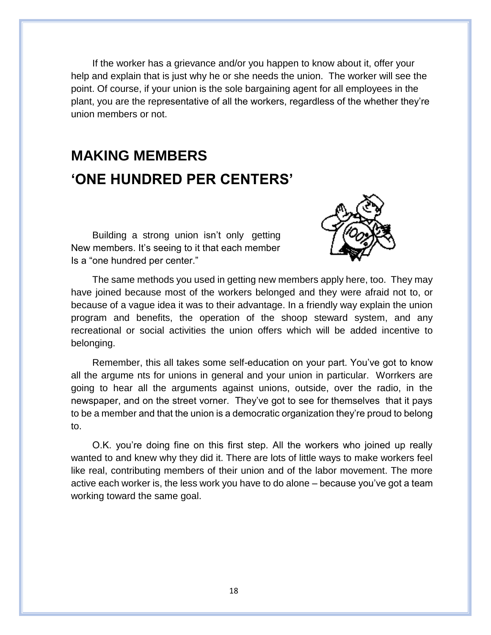If the worker has a grievance and/or you happen to know about it, offer your help and explain that is just why he or she needs the union. The worker will see the point. Of course, if your union is the sole bargaining agent for all employees in the plant, you are the representative of all the workers, regardless of the whether they're union members or not.

### **MAKING MEMBERS 'ONE HUNDRED PER CENTERS'**

Building a strong union isn't only getting New members. It's seeing to it that each member Is a "one hundred per center."



The same methods you used in getting new members apply here, too. They may have joined because most of the workers belonged and they were afraid not to, or because of a vague idea it was to their advantage. In a friendly way explain the union program and benefits, the operation of the shoop steward system, and any recreational or social activities the union offers which will be added incentive to belonging.

Remember, this all takes some self-education on your part. You've got to know all the argume nts for unions in general and your union in particular. Worrkers are going to hear all the arguments against unions, outside, over the radio, in the newspaper, and on the street vorner. They've got to see for themselves that it pays to be a member and that the union is a democratic organization they're proud to belong to.

O.K. you're doing fine on this first step. All the workers who joined up really wanted to and knew why they did it. There are lots of little ways to make workers feel like real, contributing members of their union and of the labor movement. The more active each worker is, the less work you have to do alone – because you've got a team working toward the same goal.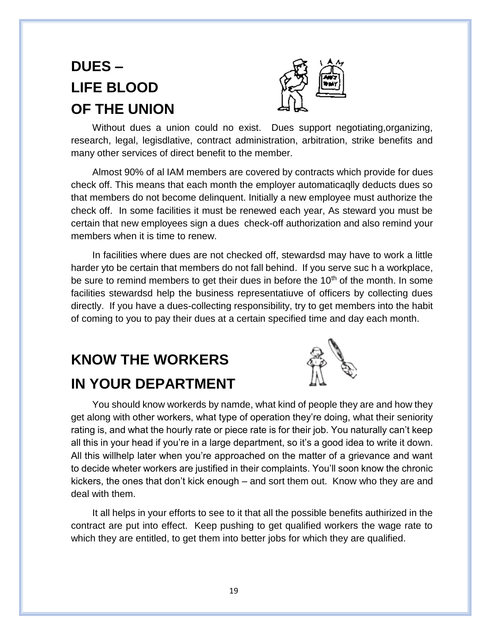### **DUES – LIFE BLOOD OF THE UNION**



Without dues a union could no exist. Dues support negotiating,organizing, research, legal, legisdlative, contract administration, arbitration, strike benefits and many other services of direct benefit to the member.

Almost 90% of al IAM members are covered by contracts which provide for dues check off. This means that each month the employer automaticaqlly deducts dues so that members do not become delinquent. Initially a new employee must authorize the check off. In some facilities it must be renewed each year, As steward you must be certain that new employees sign a dues check-off authorization and also remind your members when it is time to renew.

In facilities where dues are not checked off, stewardsd may have to work a little harder yto be certain that members do not fall behind. If you serve suc h a workplace, be sure to remind members to get their dues in before the  $10<sup>th</sup>$  of the month. In some facilities stewardsd help the business representatiuve of officers by collecting dues directly. If you have a dues-collecting responsibility, try to get members into the habit of coming to you to pay their dues at a certain specified time and day each month.

### **KNOW THE WORKERS IN YOUR DEPARTMENT**



You should know workerds by namde, what kind of people they are and how they get along with other workers, what type of operation they're doing, what their seniority rating is, and what the hourly rate or piece rate is for their job. You naturally can't keep all this in your head if you're in a large department, so it's a good idea to write it down. All this willhelp later when you're approached on the matter of a grievance and want to decide wheter workers are justified in their complaints. You'll soon know the chronic kickers, the ones that don't kick enough – and sort them out. Know who they are and deal with them.

It all helps in your efforts to see to it that all the possible benefits authirized in the contract are put into effect. Keep pushing to get qualified workers the wage rate to which they are entitled, to get them into better jobs for which they are qualified.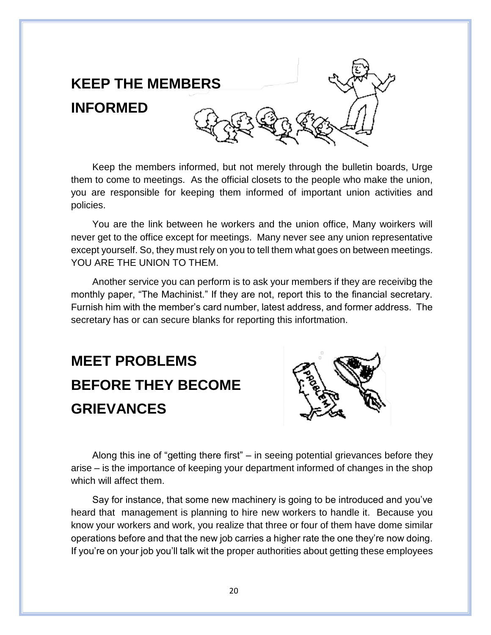

Keep the members informed, but not merely through the bulletin boards, Urge them to come to meetings. As the official closets to the people who make the union, you are responsible for keeping them informed of important union activities and policies.

You are the link between he workers and the union office, Many woirkers will never get to the office except for meetings. Many never see any union representative except yourself. So, they must rely on you to tell them what goes on between meetings. YOU ARE THE UNION TO THEM.

Another service you can perform is to ask your members if they are receivibg the monthly paper, "The Machinist." If they are not, report this to the financial secretary. Furnish him with the member's card number, latest address, and former address. The secretary has or can secure blanks for reporting this infortmation.

# **MEET PROBLEMS BEFORE THEY BECOME GRIEVANCES**



Along this ine of "getting there first" – in seeing potential grievances before they arise – is the importance of keeping your department informed of changes in the shop which will affect them.

Say for instance, that some new machinery is going to be introduced and you've heard that management is planning to hire new workers to handle it. Because you know your workers and work, you realize that three or four of them have dome similar operations before and that the new job carries a higher rate the one they're now doing. If you're on your job you'll talk wit the proper authorities about getting these employees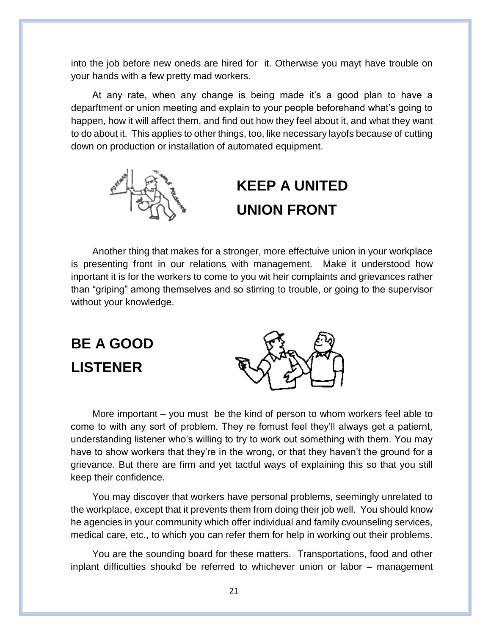into the job before new oneds are hired for it. Otherwise you mayt have trouble on your hands with a few pretty mad workers.

At any rate, when any change is being made it's a good plan to have a deparftment or union meeting and explain to your people beforehand what's going to happen, how it will affect them, and find out how they feel about it, and what they want to do about it. This applies to other things, too, like necessary layofs because of cutting down on production or installation of automated equipment.



### **KEEP A UNITED UNION FRONT**

Another thing that makes for a stronger, more effectuive union in your workplace is presenting front in our relations with management. Make it understood how inportant it is for the workers to come to you wit heir complaints and grievances rather than "griping" among themselves and so stirring to trouble, or going to the supervisor without your knowledge.

**BE A GOOD LISTENER**



More important – you must be the kind of person to whom workers feel able to come to with any sort of problem. They re fomust feel they'll always get a patiernt, understanding listener who's willing to try to work out something with them. You may have to show workers that they're in the wrong, or that they haven't the ground for a grievance. But there are firm and yet tactful ways of explaining this so that you still keep their confidence.

You may discover that workers have personal problems, seemingly unrelated to the workplace, except that it prevents them from doing their job well. You should know he agencies in your community which offer individual and family cvounseling services, medical care, etc., to which you can refer them for help in working out their problems.

You are the sounding board for these matters. Transportations, food and other inplant difficulties shoukd be referred to whichever union or labor – management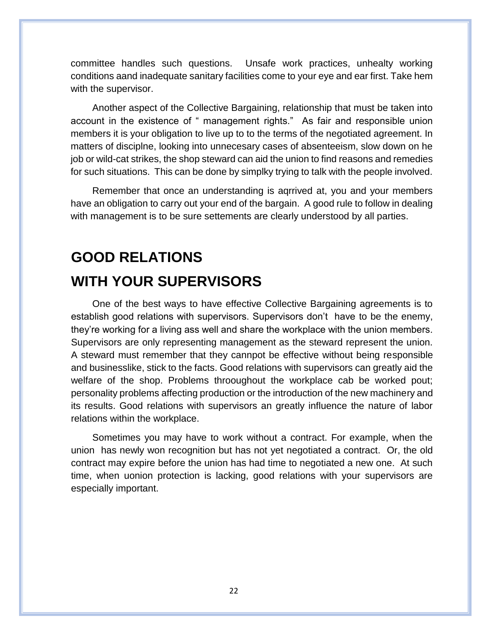committee handles such questions. Unsafe work practices, unhealty working conditions aand inadequate sanitary facilities come to your eye and ear first. Take hem with the supervisor.

Another aspect of the Collective Bargaining, relationship that must be taken into account in the existence of " management rights." As fair and responsible union members it is your obligation to live up to to the terms of the negotiated agreement. In matters of disciplne, looking into unnecesary cases of absenteeism, slow down on he job or wild-cat strikes, the shop steward can aid the union to find reasons and remedies for such situations. This can be done by simplky trying to talk with the people involved.

Remember that once an understanding is aqrrived at, you and your members have an obligation to carry out your end of the bargain. A good rule to follow in dealing with management is to be sure settements are clearly understood by all parties.

### **GOOD RELATIONS WITH YOUR SUPERVISORS**

One of the best ways to have effective Collective Bargaining agreements is to establish good relations with supervisors. Supervisors don't have to be the enemy, they're working for a living ass well and share the workplace with the union members. Supervisors are only representing management as the steward represent the union. A steward must remember that they cannpot be effective without being responsible and businesslike, stick to the facts. Good relations with supervisors can greatly aid the welfare of the shop. Problems throoughout the workplace cab be worked pout; personality problems affecting production or the introduction of the new machinery and its results. Good relations with supervisors an greatly influence the nature of labor relations within the workplace.

Sometimes you may have to work without a contract. For example, when the union has newly won recognition but has not yet negotiated a contract. Or, the old contract may expire before the union has had time to negotiated a new one. At such time, when uonion protection is lacking, good relations with your supervisors are especially important.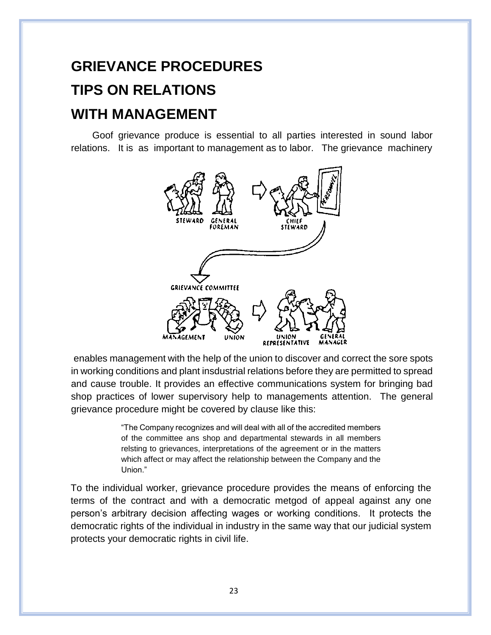# **GRIEVANCE PROCEDURES TIPS ON RELATIONS WITH MANAGEMENT**

Goof grievance produce is essential to all parties interested in sound labor relations. It is as important to management as to labor. The grievance machinery



enables management with the help of the union to discover and correct the sore spots in working conditions and plant insdustrial relations before they are permitted to spread and cause trouble. It provides an effective communications system for bringing bad shop practices of lower supervisory help to managements attention. The general grievance procedure might be covered by clause like this:

> "The Company recognizes and will deal with all of the accredited members of the committee ans shop and departmental stewards in all members relsting to grievances, interpretations of the agreement or in the matters which affect or may affect the relationship between the Company and the Union."

To the individual worker, grievance procedure provides the means of enforcing the terms of the contract and with a democratic metgod of appeal against any one person's arbitrary decision affecting wages or working conditions. It protects the democratic rights of the individual in industry in the same way that our judicial system protects your democratic rights in civil life.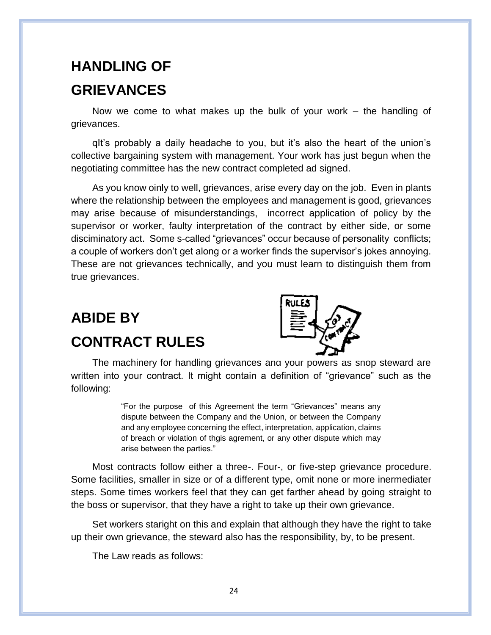### **HANDLING OF GRIEVANCES**

Now we come to what makes up the bulk of your work – the handling of grievances.

qIt's probably a daily headache to you, but it's also the heart of the union's collective bargaining system with management. Your work has just begun when the negotiating committee has the new contract completed ad signed.

As you know oinly to well, grievances, arise every day on the job. Even in plants where the relationship between the employees and management is good, grievances may arise because of misunderstandings, incorrect application of policy by the supervisor or worker, faulty interpretation of the contract by either side, or some disciminatory act. Some s-called "grievances" occur because of personality conflicts; a couple of workers don't get along or a worker finds the supervisor's jokes annoying. These are not grievances technically, and you must learn to distinguish them from true grievances.

### **ABIDE BY CONTRACT RULES**



The machinery for handling grievances and your powers as shop steward are written into your contract. It might contain a definition of "grievance" such as the following:

> "For the purpose of this Agreement the term "Grievances" means any dispute between the Company and the Union, or between the Company and any employee concerning the effect, interpretation, application, claims of breach or violation of thgis agrement, or any other dispute which may arise between the parties."

Most contracts follow either a three-. Four-, or five-step grievance procedure. Some facilities, smaller in size or of a different type, omit none or more inermediater steps. Some times workers feel that they can get farther ahead by going straight to the boss or supervisor, that they have a right to take up their own grievance.

Set workers staright on this and explain that although they have the right to take up their own grievance, the steward also has the responsibility, by, to be present.

The Law reads as follows: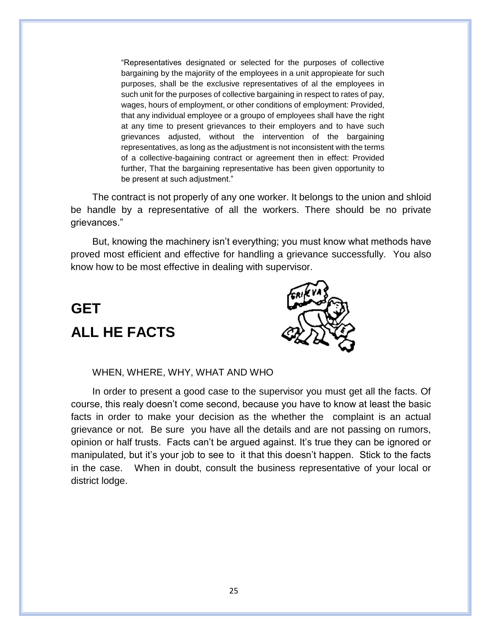"Representatives designated or selected for the purposes of collective bargaining by the majoriity of the employees in a unit appropieate for such purposes, shall be the exclusive representatives of al the employees in such unit for the purposes of collective bargaining in respect to rates of pay, wages, hours of employment, or other conditions of employment: Provided, that any individual employee or a groupo of employees shall have the right at any time to present grievances to their employers and to have such grievances adjusted, without the intervention of the bargaining representatives, as long as the adjustment is not inconsistent with the terms of a collective-bagaining contract or agreement then in effect: Provided further, That the bargaining representative has been given opportunity to be present at such adjustment."

The contract is not properly of any one worker. It belongs to the union and shloid be handle by a representative of all the workers. There should be no private grievances."

But, knowing the machinery isn't everything; you must know what methods have proved most efficient and effective for handling a grievance successfully. You also know how to be most effective in dealing with supervisor.

### **GET ALL HE FACTS**



WHEN, WHERE, WHY, WHAT AND WHO

In order to present a good case to the supervisor you must get all the facts. Of course, this realy doesn't come second, because you have to know at least the basic facts in order to make your decision as the whether the complaint is an actual grievance or not. Be sure you have all the details and are not passing on rumors, opinion or half trusts. Facts can't be argued against. It's true they can be ignored or manipulated, but it's your job to see to it that this doesn't happen. Stick to the facts in the case. When in doubt, consult the business representative of your local or district lodge.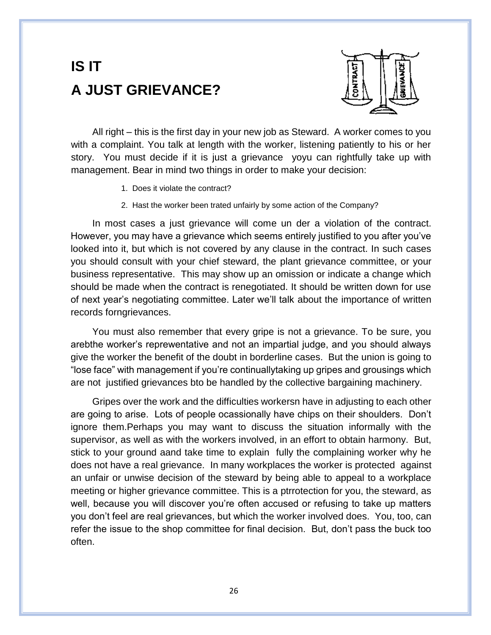### **IS IT A JUST GRIEVANCE?**



All right – this is the first day in your new job as Steward. A worker comes to you with a complaint. You talk at length with the worker, listening patiently to his or her story. You must decide if it is just a grievance yoyu can rightfully take up with management. Bear in mind two things in order to make your decision:

- 1. Does it violate the contract?
- 2. Hast the worker been trated unfairly by some action of the Company?

In most cases a just grievance will come un der a violation of the contract. However, you may have a grievance which seems entirely justified to you after you've looked into it, but which is not covered by any clause in the contract. In such cases you should consult with your chief steward, the plant grievance committee, or your business representative. This may show up an omission or indicate a change which should be made when the contract is renegotiated. It should be written down for use of next year's negotiating committee. Later we'll talk about the importance of written records forngrievances.

You must also remember that every gripe is not a grievance. To be sure, you arebthe worker's reprewentative and not an impartial judge, and you should always give the worker the benefit of the doubt in borderline cases. But the union is going to "lose face" with management if you're continuallytaking up gripes and grousings which are not justified grievances bto be handled by the collective bargaining machinery.

Gripes over the work and the difficulties workersn have in adjusting to each other are going to arise. Lots of people ocassionally have chips on their shoulders. Don't ignore them.Perhaps you may want to discuss the situation informally with the supervisor, as well as with the workers involved, in an effort to obtain harmony. But, stick to your ground aand take time to explain fully the complaining worker why he does not have a real grievance. In many workplaces the worker is protected against an unfair or unwise decision of the steward by being able to appeal to a workplace meeting or higher grievance committee. This is a ptrrotection for you, the steward, as well, because you will discover you're often accused or refusing to take up matters you don't feel are real grievances, but which the worker involved does. You, too, can refer the issue to the shop committee for final decision. But, don't pass the buck too often.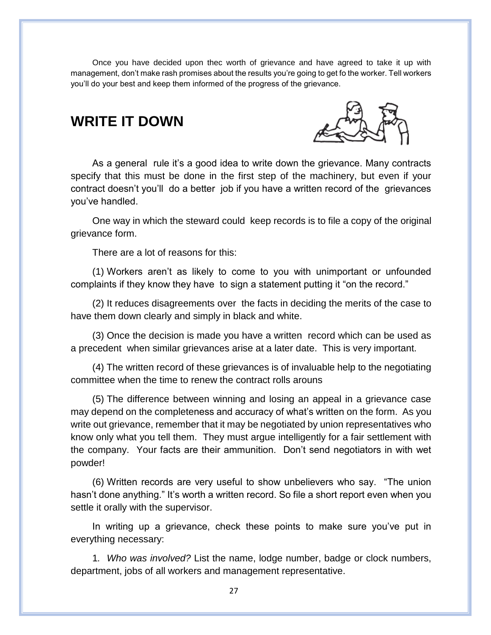Once you have decided upon thec worth of grievance and have agreed to take it up with management, don't make rash promises about the results you're going to get fo the worker. Tell workers you'll do your best and keep them informed of the progress of the grievance.

#### **WRITE IT DOWN**



As a general rule it's a good idea to write down the grievance. Many contracts specify that this must be done in the first step of the machinery, but even if your contract doesn't you'll do a better job if you have a written record of the grievances you've handled.

One way in which the steward could keep records is to file a copy of the original grievance form.

There are a lot of reasons for this:

(1) Workers aren't as likely to come to you with unimportant or unfounded complaints if they know they have to sign a statement putting it "on the record."

(2) It reduces disagreements over the facts in deciding the merits of the case to have them down clearly and simply in black and white.

(3) Once the decision is made you have a written record which can be used as a precedent when similar grievances arise at a later date. This is very important.

(4) The written record of these grievances is of invaluable help to the negotiating committee when the time to renew the contract rolls arouns

(5) The difference between winning and losing an appeal in a grievance case may depend on the completeness and accuracy of what's written on the form. As you write out grievance, remember that it may be negotiated by union representatives who know only what you tell them. They must argue intelligently for a fair settlement with the company. Your facts are their ammunition. Don't send negotiators in with wet powder!

(6) Written records are very useful to show unbelievers who say. "The union hasn't done anything." It's worth a written record. So file a short report even when you settle it orally with the supervisor.

In writing up a grievance, check these points to make sure you've put in everything necessary:

1*. Who was involved?* List the name, lodge number, badge or clock numbers, department, jobs of all workers and management representative.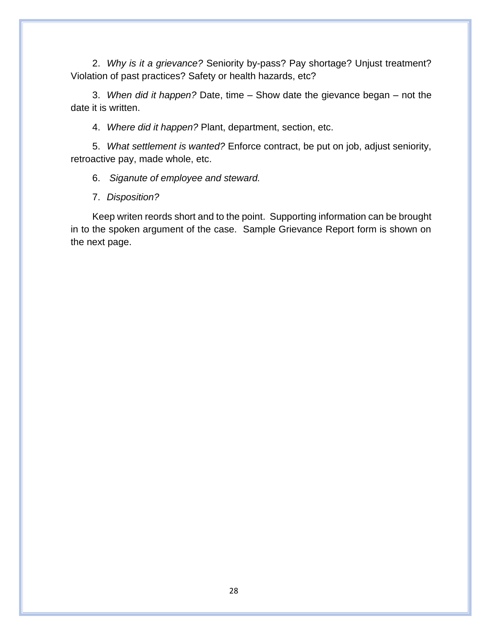2. *Why is it a grievance?* Seniority by-pass? Pay shortage? Unjust treatment? Violation of past practices? Safety or health hazards, etc?

3. *When did it happen?* Date, time – Show date the gievance began – not the date it is written.

4. *Where did it happen?* Plant, department, section, etc.

5. *What settlement is wanted?* Enforce contract, be put on job, adjust seniority, retroactive pay, made whole, etc.

6. *Siganute of employee and steward.*

7. *Disposition?*

Keep writen reords short and to the point. Supporting information can be brought in to the spoken argument of the case. Sample Grievance Report form is shown on the next page.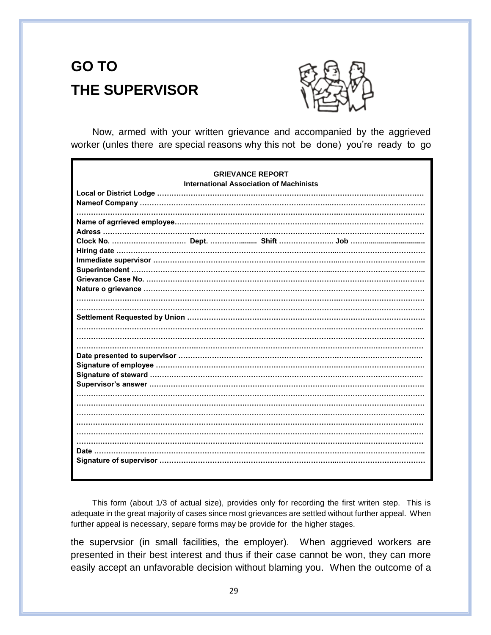### **GO TO THE SUPERVISOR**



Now, armed with your written grievance and accompanied by the aggrieved worker (unles there are special reasons why this not be done) you're ready to go

| <b>GRIEVANCE REPORT</b><br><b>International Association of Machinists</b> |
|---------------------------------------------------------------------------|
|                                                                           |
|                                                                           |
|                                                                           |
|                                                                           |
|                                                                           |
|                                                                           |
|                                                                           |
|                                                                           |
|                                                                           |
|                                                                           |
|                                                                           |
|                                                                           |
|                                                                           |
|                                                                           |

This form (about 1/3 of actual size), provides only for recording the first writen step. This is adequate in the great majority of cases since most grievances are settled without further appeal. When further appeal is necessary, separe forms may be provide for the higher stages.

the supervsior (in small facilities, the employer). When aggrieved workers are presented in their best interest and thus if their case cannot be won, they can more easily accept an unfavorable decision without blaming you. When the outcome of a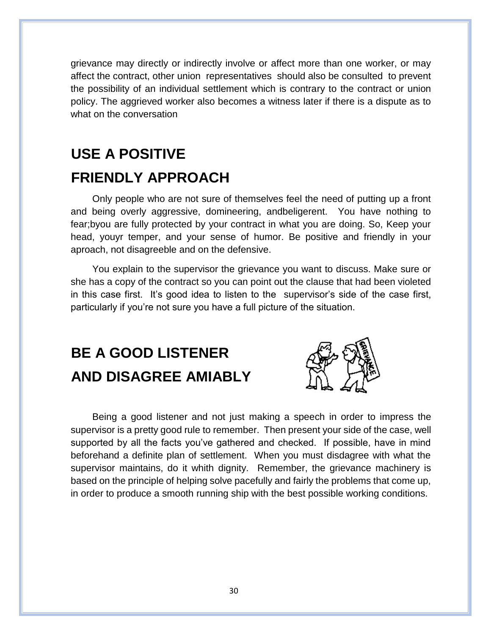grievance may directly or indirectly involve or affect more than one worker, or may affect the contract, other union representatives should also be consulted to prevent the possibility of an individual settlement which is contrary to the contract or union policy. The aggrieved worker also becomes a witness later if there is a dispute as to what on the conversation

### **USE A POSITIVE FRIENDLY APPROACH**

Only people who are not sure of themselves feel the need of putting up a front and being overly aggressive, domineering, andbeligerent. You have nothing to fear;byou are fully protected by your contract in what you are doing. So, Keep your head, youyr temper, and your sense of humor. Be positive and friendly in your aproach, not disagreeble and on the defensive.

You explain to the supervisor the grievance you want to discuss. Make sure or she has a copy of the contract so you can point out the clause that had been violeted in this case first. It's good idea to listen to the supervisor's side of the case first, particularly if you're not sure you have a full picture of the situation.

### **BE A GOOD LISTENER AND DISAGREE AMIABLY**



Being a good listener and not just making a speech in order to impress the supervisor is a pretty good rule to remember. Then present your side of the case, well supported by all the facts you've gathered and checked. If possible, have in mind beforehand a definite plan of settlement. When you must disdagree with what the supervisor maintains, do it whith dignity. Remember, the grievance machinery is based on the principle of helping solve pacefully and fairly the problems that come up, in order to produce a smooth running ship with the best possible working conditions.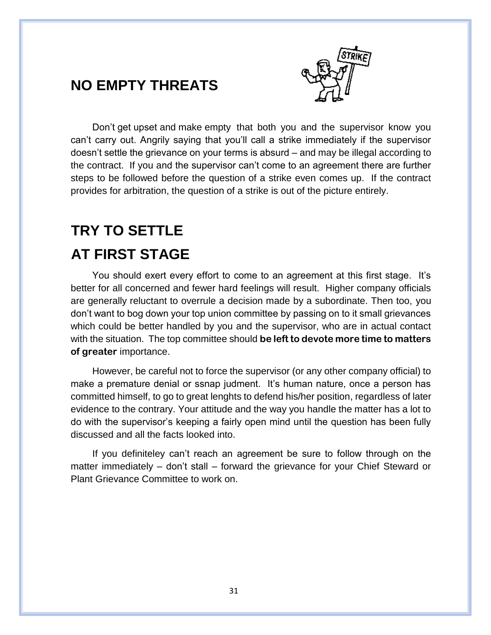

#### **NO EMPTY THREATS**

Don't get upset and make empty that both you and the supervisor know you can't carry out. Angrily saying that you'll call a strike immediately if the supervisor doesn't settle the grievance on your terms is absurd – and may be illegal according to the contract. If you and the supervisor can't come to an agreement there are further steps to be followed before the question of a strike even comes up. If the contract provides for arbitration, the question of a strike is out of the picture entirely.

#### **TRY TO SETTLE**

#### **AT FIRST STAGE**

You should exert every effort to come to an agreement at this first stage. It's better for all concerned and fewer hard feelings will result. Higher company officials are generally reluctant to overrule a decision made by a subordinate. Then too, you don't want to bog down your top union committee by passing on to it small grievances which could be better handled by you and the supervisor, who are in actual contact with the situation. The top committee should **be left to devote more time to matters of greater** importance.

However, be careful not to force the supervisor (or any other company official) to make a premature denial or ssnap judment. It's human nature, once a person has committed himself, to go to great lenghts to defend his/her position, regardless of later evidence to the contrary. Your attitude and the way you handle the matter has a lot to do with the supervisor's keeping a fairly open mind until the question has been fully discussed and all the facts looked into.

If you definiteley can't reach an agreement be sure to follow through on the matter immediately – don't stall – forward the grievance for your Chief Steward or Plant Grievance Committee to work on.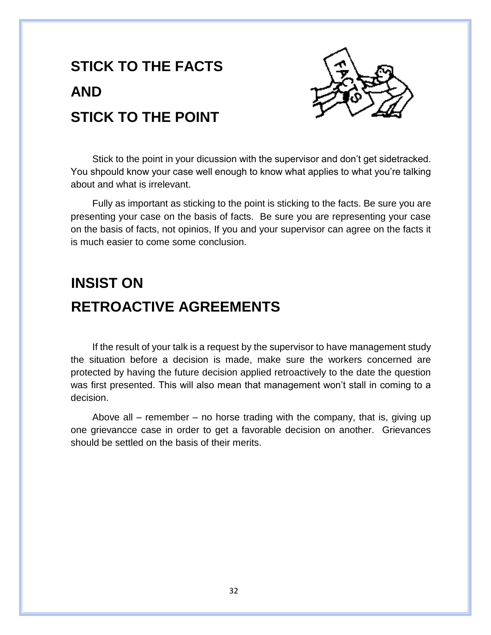# **STICK TO THE FACTS AND STICK TO THE POINT**



Stick to the point in your dicussion with the supervisor and don't get sidetracked. You shpould know your case well enough to know what applies to what you're talking about and what is irrelevant.

Fully as important as sticking to the point is sticking to the facts. Be sure you are presenting your case on the basis of facts. Be sure you are representing your case on the basis of facts, not opinios, If you and your supervisor can agree on the facts it is much easier to come some conclusion.

### **INSIST ON RETROACTIVE AGREEMENTS**

If the result of your talk is a request by the supervisor to have management study the situation before a decision is made, make sure the workers concerned are protected by having the future decision applied retroactively to the date the question was first presented. This will also mean that management won't stall in coming to a decision.

Above all – remember – no horse trading with the company, that is, giving up one grievancce case in order to get a favorable decision on another. Grievances should be settled on the basis of their merits.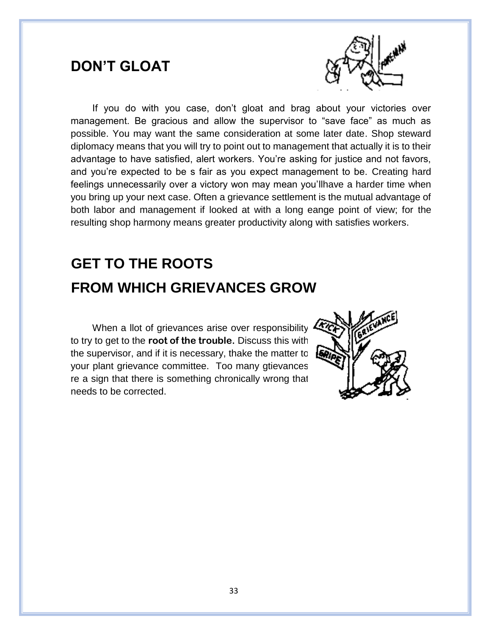#### **DON'T GLOAT**



If you do with you case, don't gloat and brag about your victories over management. Be gracious and allow the supervisor to "save face" as much as possible. You may want the same consideration at some later date. Shop steward diplomacy means that you will try to point out to management that actually it is to their advantage to have satisfied, alert workers. You're asking for justice and not favors, and you're expected to be s fair as you expect management to be. Creating hard feelings unnecessarily over a victory won may mean you'llhave a harder time when you bring up your next case. Often a grievance settlement is the mutual advantage of both labor and management if looked at with a long eange point of view; for the resulting shop harmony means greater productivity along with satisfies workers.

### **GET TO THE ROOTS FROM WHICH GRIEVANCES GROW**

When a llot of grievances arise over responsibility to try to get to the **root of the trouble.** Discuss this with the supervisor, and if it is necessary, thake the matter to your plant grievance committee. Too many gtievances re a sign that there is something chronically wrong that needs to be corrected.

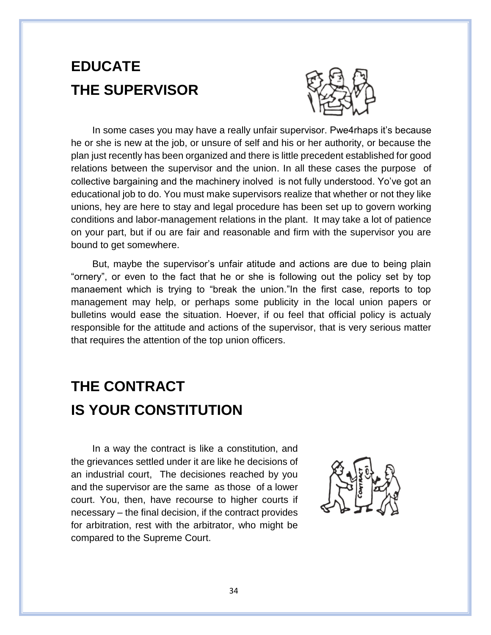### **EDUCATE THE SUPERVISOR**



In some cases you may have a really unfair supervisor. Pwe4rhaps it's because he or she is new at the job, or unsure of self and his or her authority, or because the plan just recently has been organized and there is little precedent established for good relations between the supervisor and the union. In all these cases the purpose of collective bargaining and the machinery inolved is not fully understood. Yo've got an educational job to do. You must make supervisors realize that whether or not they like unions, hey are here to stay and legal procedure has been set up to govern working conditions and labor-management relations in the plant. It may take a lot of patience on your part, but if ou are fair and reasonable and firm with the supervisor you are bound to get somewhere.

But, maybe the supervisor's unfair atitude and actions are due to being plain "ornery", or even to the fact that he or she is following out the policy set by top manaement which is trying to "break the union."In the first case, reports to top management may help, or perhaps some publicity in the local union papers or bulletins would ease the situation. Hoever, if ou feel that official policy is actualy responsible for the attitude and actions of the supervisor, that is very serious matter that requires the attention of the top union officers.

### **THE CONTRACT IS YOUR CONSTITUTION**

In a way the contract is like a constitution, and the grievances settled under it are like he decisions of an industrial court, The decisiones reached by you and the supervisor are the same as those of a lower court. You, then, have recourse to higher courts if necessary – the final decision, if the contract provides for arbitration, rest with the arbitrator, who might be compared to the Supreme Court.

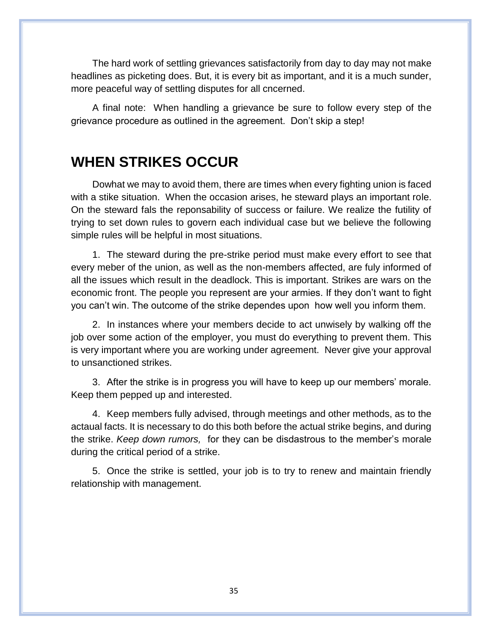The hard work of settling grievances satisfactorily from day to day may not make headlines as picketing does. But, it is every bit as important, and it is a much sunder, more peaceful way of settling disputes for all cncerned.

A final note: When handling a grievance be sure to follow every step of the grievance procedure as outlined in the agreement. Don't skip a step!

#### **WHEN STRIKES OCCUR**

Dowhat we may to avoid them, there are times when every fighting union is faced with a stike situation. When the occasion arises, he steward plays an important role. On the steward fals the reponsability of success or failure. We realize the futility of trying to set down rules to govern each individual case but we believe the following simple rules will be helpful in most situations.

1. The steward during the pre-strike period must make every effort to see that every meber of the union, as well as the non-members affected, are fuly informed of all the issues which result in the deadlock. This is important. Strikes are wars on the economic front. The people you represent are your armies. If they don't want to fight you can't win. The outcome of the strike dependes upon how well you inform them.

2. In instances where your members decide to act unwisely by walking off the job over some action of the employer, you must do everything to prevent them. This is very important where you are working under agreement. Never give your approval to unsanctioned strikes.

3. After the strike is in progress you will have to keep up our members' morale. Keep them pepped up and interested.

4. Keep members fully advised, through meetings and other methods, as to the actaual facts. It is necessary to do this both before the actual strike begins, and during the strike. *Keep down rumors,* for they can be disdastrous to the member's morale during the critical period of a strike.

5. Once the strike is settled, your job is to try to renew and maintain friendly relationship with management.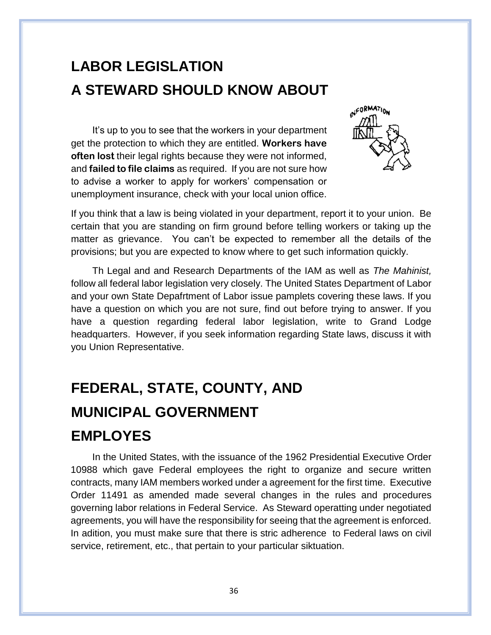### **LABOR LEGISLATION A STEWARD SHOULD KNOW ABOUT**

It's up to you to see that the workers in your department get the protection to which they are entitled. **Workers have often lost** their legal rights because they were not informed, and **failed to file claims** as required. If you are not sure how to advise a worker to apply for workers' compensation or unemployment insurance, check with your local union office.



If you think that a law is being violated in your department, report it to your union. Be certain that you are standing on firm ground before telling workers or taking up the matter as grievance. You can't be expected to remember all the details of the provisions; but you are expected to know where to get such information quickly.

Th Legal and and Research Departments of the IAM as well as *The Mahinist,*  follow all federal labor legislation very closely. The United States Department of Labor and your own State Depafrtment of Labor issue pamplets covering these laws. If you have a question on which you are not sure, find out before trying to answer. If you have a question regarding federal labor legislation, write to Grand Lodge headquarters. However, if you seek information regarding State laws, discuss it with you Union Representative.

### **FEDERAL, STATE, COUNTY, AND MUNICIPAL GOVERNMENT EMPLOYES**

In the United States, with the issuance of the 1962 Presidential Executive Order 10988 which gave Federal employees the right to organize and secure written contracts, many IAM members worked under a agreement for the first time. Executive Order 11491 as amended made several changes in the rules and procedures governing labor relations in Federal Service. As Steward operatting under negotiated agreements, you will have the responsibility for seeing that the agreement is enforced. In adition, you must make sure that there is stric adherence to Federal laws on civil service, retirement, etc., that pertain to your particular siktuation.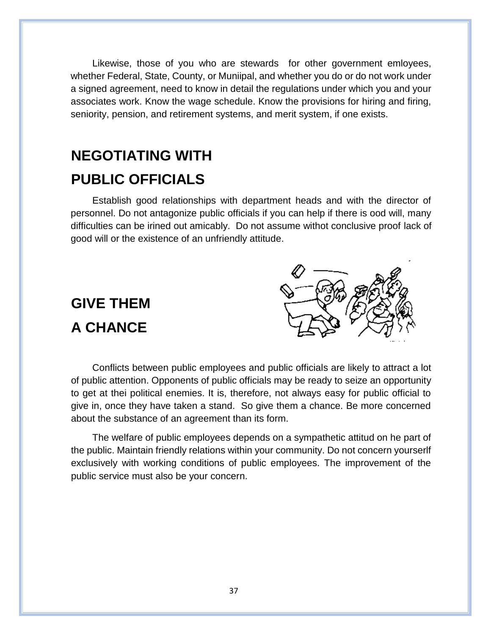Likewise, those of you who are stewards for other government emloyees, whether Federal, State, County, or Muniipal, and whether you do or do not work under a signed agreement, need to know in detail the regulations under which you and your associates work. Know the wage schedule. Know the provisions for hiring and firing, seniority, pension, and retirement systems, and merit system, if one exists.

### **NEGOTIATING WITH PUBLIC OFFICIALS**

Establish good relationships with department heads and with the director of personnel. Do not antagonize public officials if you can help if there is ood will, many difficulties can be irined out amicably. Do not assume withot conclusive proof lack of good will or the existence of an unfriendly attitude.

### **GIVE THEM A CHANCE**

Conflicts between public employees and public officials are likely to attract a lot of public attention. Opponents of public officials may be ready to seize an opportunity to get at thei political enemies. It is, therefore, not always easy for public official to give in, once they have taken a stand. So give them a chance. Be more concerned about the substance of an agreement than its form.

The welfare of public employees depends on a sympathetic attitud on he part of the public. Maintain friendly relations within your community. Do not concern yourserlf exclusively with working conditions of public employees. The improvement of the public service must also be your concern.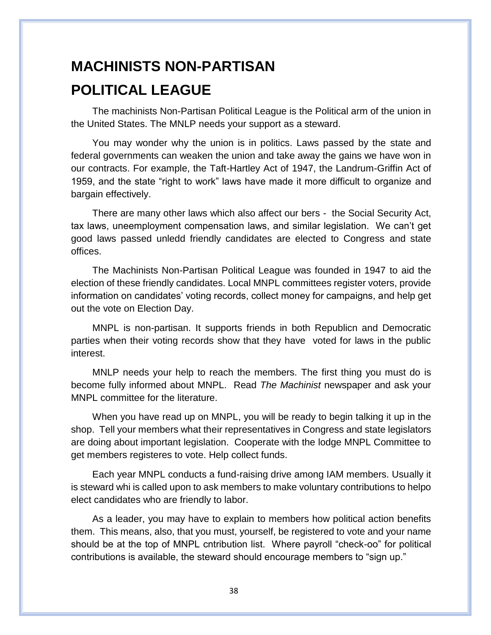### **MACHINISTS NON-PARTISAN POLITICAL LEAGUE**

The machinists Non-Partisan Political League is the Political arm of the union in the United States. The MNLP needs your support as a steward.

You may wonder why the union is in politics. Laws passed by the state and federal governments can weaken the union and take away the gains we have won in our contracts. For example, the Taft-Hartley Act of 1947, the Landrum-Griffin Act of 1959, and the state "right to work" laws have made it more difficult to organize and bargain effectively.

There are many other laws which also affect our bers - the Social Security Act, tax laws, uneemployment compensation laws, and similar legislation. We can't get good laws passed unledd friendly candidates are elected to Congress and state offices.

The Machinists Non-Partisan Political League was founded in 1947 to aid the election of these friendly candidates. Local MNPL committees register voters, provide information on candidates' voting records, collect money for campaigns, and help get out the vote on Election Day.

MNPL is non-partisan. It supports friends in both Republicn and Democratic parties when their voting records show that they have voted for laws in the public interest.

MNLP needs your help to reach the members. The first thing you must do is become fully informed about MNPL. Read *The Machinist* newspaper and ask your MNPL committee for the literature.

When you have read up on MNPL, you will be ready to begin talking it up in the shop. Tell your members what their representatives in Congress and state legislators are doing about important legislation. Cooperate with the lodge MNPL Committee to get members registeres to vote. Help collect funds.

Each year MNPL conducts a fund-raising drive among IAM members. Usually it is steward whi is called upon to ask members to make voluntary contributions to helpo elect candidates who are friendly to labor.

As a leader, you may have to explain to members how political action benefits them. This means, also, that you must, yourself, be registered to vote and your name should be at the top of MNPL cntribution list. Where payroll "check-oo" for political contributions is available, the steward should encourage members to "sign up."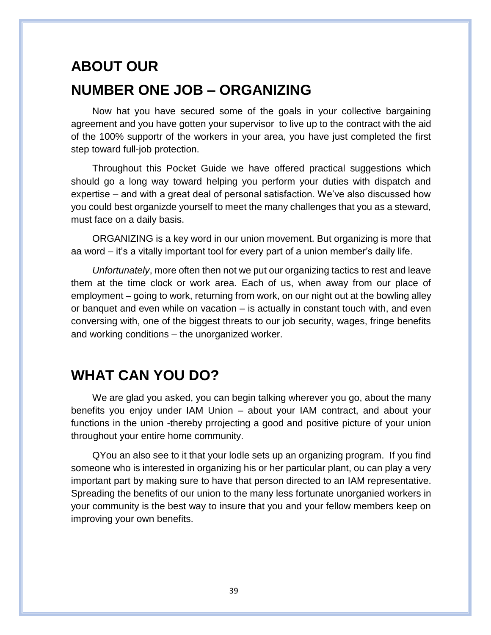### **ABOUT OUR NUMBER ONE JOB – ORGANIZING**

Now hat you have secured some of the goals in your collective bargaining agreement and you have gotten your supervisor to live up to the contract with the aid of the 100% supportr of the workers in your area, you have just completed the first step toward full-job protection.

Throughout this Pocket Guide we have offered practical suggestions which should go a long way toward helping you perform your duties with dispatch and expertise – and with a great deal of personal satisfaction. We've also discussed how you could best organizde yourself to meet the many challenges that you as a steward, must face on a daily basis.

ORGANIZING is a key word in our union movement. But organizing is more that aa word – it's a vitally important tool for every part of a union member's daily life.

*Unfortunately*, more often then not we put our organizing tactics to rest and leave them at the time clock or work area. Each of us, when away from our place of employment – going to work, returning from work, on our night out at the bowling alley or banquet and even while on vacation – is actually in constant touch with, and even conversing with, one of the biggest threats to our job security, wages, fringe benefits and working conditions – the unorganized worker.

#### **WHAT CAN YOU DO?**

We are glad you asked, you can begin talking wherever you go, about the many benefits you enjoy under IAM Union – about your IAM contract, and about your functions in the union -thereby prrojecting a good and positive picture of your union throughout your entire home community.

QYou an also see to it that your lodle sets up an organizing program. If you find someone who is interested in organizing his or her particular plant, ou can play a very important part by making sure to have that person directed to an IAM representative. Spreading the benefits of our union to the many less fortunate unorganied workers in your community is the best way to insure that you and your fellow members keep on improving your own benefits.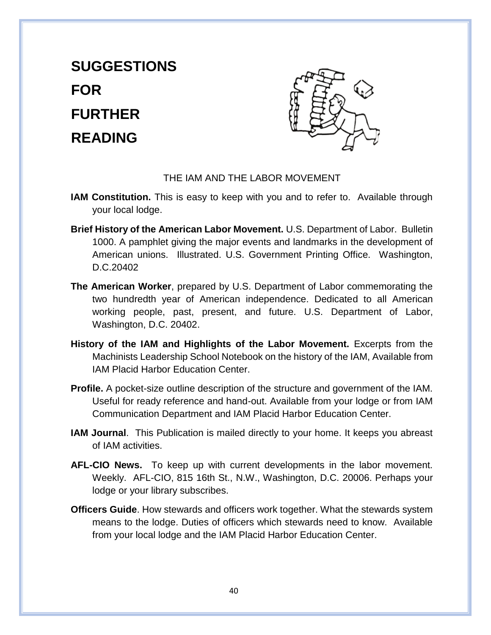# **SUGGESTIONS FOR FURTHER READING**



#### THE IAM AND THE LABOR MOVEMENT

- **IAM Constitution.** This is easy to keep with you and to refer to. Available through your local lodge.
- **Brief History of the American Labor Movement.** U.S. Department of Labor. Bulletin 1000. A pamphlet giving the major events and landmarks in the development of American unions. Illustrated. U.S. Government Printing Office. Washington, D.C.20402
- **The American Worker**, prepared by U.S. Department of Labor commemorating the two hundredth year of American independence. Dedicated to all American working people, past, present, and future. U.S. Department of Labor, Washington, D.C. 20402.
- **History of the IAM and Highlights of the Labor Movement.** Excerpts from the Machinists Leadership School Notebook on the history of the IAM, Available from IAM Placid Harbor Education Center.
- **Profile.** A pocket-size outline description of the structure and government of the IAM. Useful for ready reference and hand-out. Available from your lodge or from IAM Communication Department and IAM Placid Harbor Education Center.
- **IAM Journal**. This Publication is mailed directly to your home. It keeps you abreast of IAM activities.
- **AFL-CIO News.** To keep up with current developments in the labor movement. Weekly. AFL-CIO, 815 16th St., N.W., Washington, D.C. 20006. Perhaps your lodge or your library subscribes.
- **Officers Guide**. How stewards and officers work together. What the stewards system means to the lodge. Duties of officers which stewards need to know. Available from your local lodge and the IAM Placid Harbor Education Center.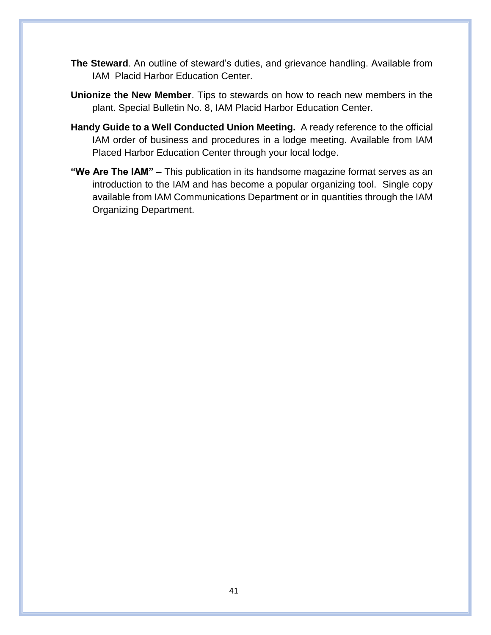- **The Steward**. An outline of steward's duties, and grievance handling. Available from IAM Placid Harbor Education Center.
- **Unionize the New Member**. Tips to stewards on how to reach new members in the plant. Special Bulletin No. 8, IAM Placid Harbor Education Center.
- **Handy Guide to a Well Conducted Union Meeting.** A ready reference to the official IAM order of business and procedures in a lodge meeting. Available from IAM Placed Harbor Education Center through your local lodge.
- **"We Are The IAM" –** This publication in its handsome magazine format serves as an introduction to the IAM and has become a popular organizing tool. Single copy available from IAM Communications Department or in quantities through the IAM Organizing Department.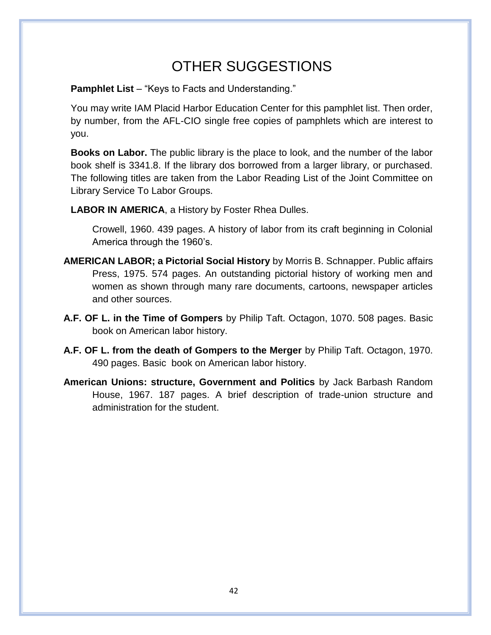#### OTHER SUGGESTIONS

**Pamphlet List** – "Keys to Facts and Understanding."

You may write IAM Placid Harbor Education Center for this pamphlet list. Then order, by number, from the AFL-CIO single free copies of pamphlets which are interest to you.

**Books on Labor.** The public library is the place to look, and the number of the labor book shelf is 3341.8. If the library dos borrowed from a larger library, or purchased. The following titles are taken from the Labor Reading List of the Joint Committee on Library Service To Labor Groups.

**LABOR IN AMERICA**, a History by Foster Rhea Dulles.

Crowell, 1960. 439 pages. A history of labor from its craft beginning in Colonial America through the 1960's.

- **AMERICAN LABOR; a Pictorial Social History** by Morris B. Schnapper. Public affairs Press, 1975. 574 pages. An outstanding pictorial history of working men and women as shown through many rare documents, cartoons, newspaper articles and other sources.
- **A.F. OF L. in the Time of Gompers** by Philip Taft. Octagon, 1070. 508 pages. Basic book on American labor history.
- **A.F. OF L. from the death of Gompers to the Merger** by Philip Taft. Octagon, 1970. 490 pages. Basic book on American labor history.
- **American Unions: structure, Government and Politics** by Jack Barbash Random House, 1967. 187 pages. A brief description of trade-union structure and administration for the student.